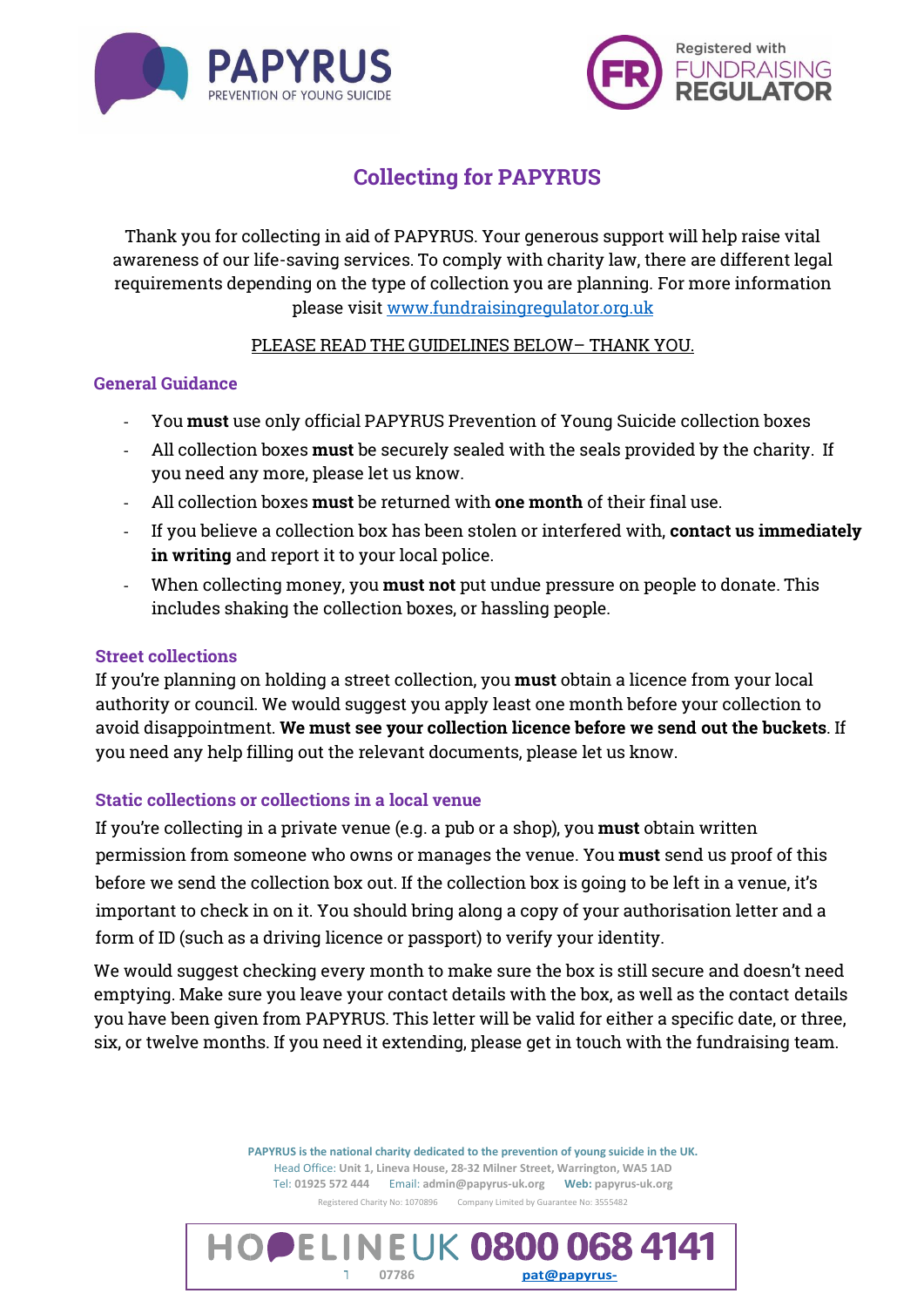



# Collecting for PAPYRUS

Thank you for collecting in aid of PAPYRUS. Your generous support will help raise vital awareness of our life-saving services. To comply with charity law, there are different legal requirements depending on the type of collection you are planning. For more information please visit [www.fundraisingregulator.org.uk](http://www.fundraisingregulator.org.uk/)

## PLEASE READ THE GUIDELINES BELOW– THANK YOU.

## General Guidance

- You must use only official PAPYRUS Prevention of Young Suicide collection boxes
- All collection boxes must be securely sealed with the seals provided by the charity. If you need any more, please let us know.
- All collection boxes must be returned with one month of their final use.
- If you believe a collection box has been stolen or interfered with, contact us immediately in writing and report it to your local police.
- When collecting money, you must not put undue pressure on people to donate. This includes shaking the collection boxes, or hassling people.

#### Street collections

If you're planning on holding a street collection, you **must** obtain a licence from your local authority or council. We would suggest you apply least one month before your collection to avoid disappointment. We must see your collection licence before we send out the buckets. If you need any help filling out the relevant documents, please let us know.

## Static collections or collections in a local venue

If you're collecting in a private venue (e.g. a pub or a shop), you must obtain written permission from someone who owns or manages the venue. You must send us proof of this before we send the collection box out. If the collection box is going to be left in a venue, it's important to check in on it. You should bring along a copy of your authorisation letter and a form of ID (such as a driving licence or passport) to verify your identity.

We would suggest checking every month to make sure the box is still secure and doesn't need emptying. Make sure you leave your contact details with the box, as well as the contact details you have been given from PAPYRUS. This letter will be valid for either a specific date, or three, six, or twelve months. If you need it extending, please get in touch with the fundraising team.

> **PAPYRUS is the national charity dedicated to the prevention of young suicide in the UK.** Head Office: **Unit 1, Lineva House, 28-32 Milner Street, Warrington, WA5 1AD** Tel: **01925 572 444** Email: **admin@papyrus-uk.org Web: papyrus-uk.org** Registered Charity No: 1070896Company Limited by Guarantee No: 3555482